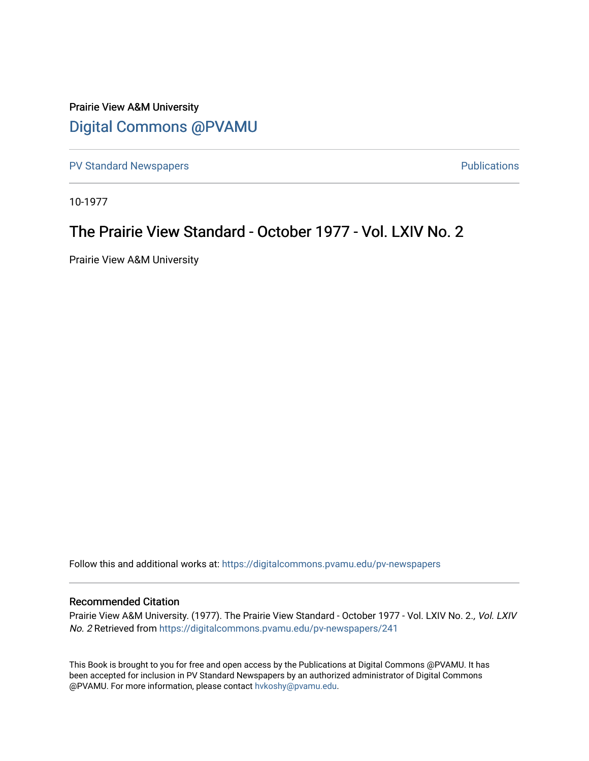## Prairie View A&M University [Digital Commons @PVAMU](https://digitalcommons.pvamu.edu/)

[PV Standard Newspapers](https://digitalcommons.pvamu.edu/pv-newspapers) **PV Standard Newspapers PUS** 

10-1977

## The Prairie View Standard - October 1977 - Vol. LXIV No. 2

Prairie View A&M University

Follow this and additional works at: [https://digitalcommons.pvamu.edu/pv-newspapers](https://digitalcommons.pvamu.edu/pv-newspapers?utm_source=digitalcommons.pvamu.edu%2Fpv-newspapers%2F241&utm_medium=PDF&utm_campaign=PDFCoverPages)

#### Recommended Citation

Prairie View A&M University. (1977). The Prairie View Standard - October 1977 - Vol. LXIV No. 2., Vol. LXIV No. 2 Retrieved from [https://digitalcommons.pvamu.edu/pv-newspapers/241](https://digitalcommons.pvamu.edu/pv-newspapers/241?utm_source=digitalcommons.pvamu.edu%2Fpv-newspapers%2F241&utm_medium=PDF&utm_campaign=PDFCoverPages)

This Book is brought to you for free and open access by the Publications at Digital Commons @PVAMU. It has been accepted for inclusion in PV Standard Newspapers by an authorized administrator of Digital Commons @PVAMU. For more information, please contact [hvkoshy@pvamu.edu](mailto:hvkoshy@pvamu.edu).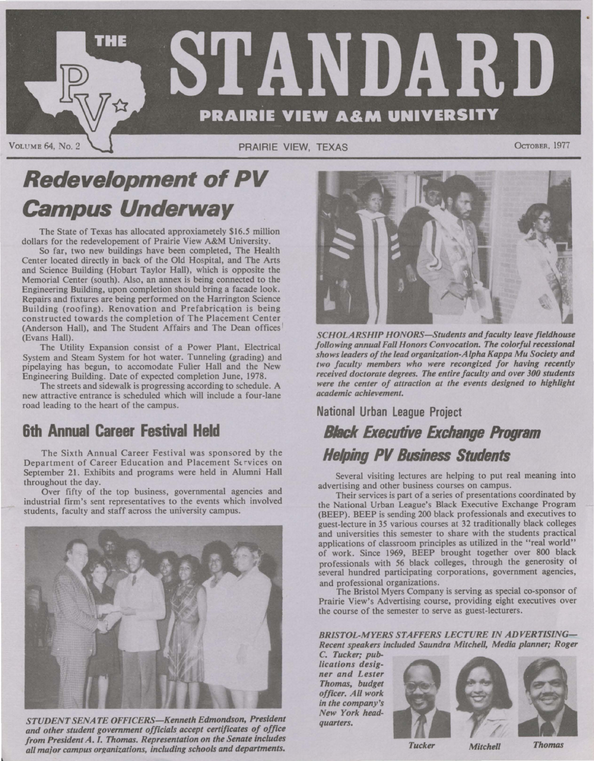

# **Redevelopment of PV Campus Underway**

The State of Texas has allocated approxiametely \$16.5 million dollars for the redevelopement of Prairie View **A&M** University.

So far, two new buildings have been completed, The Health Center located directly in back of the Old Hospital, and The Arts and Science Building (Hobart Taylor Hall), which is opposite the Memorial Center (south). Also, an annex is being connected to the Engineering Building, upon completion should bring a facade look. Repairs and fixtures are being performed on the Harrington Science Building (roofing). Renovation and Prefabrication is being constructed towards the completion of The Placement Center (Anderson Hall), and The Student Affairs and The Dean offices' (Evans Hall).

The Utility Expansion consist of a Power Plant, Electrical System and Steam System for hot water. Tunneling (grading) and pipelaying has begun, to accomodate Fuller Hall and the New Engineering Building. Date of expected completion June, 1978.

The streets and sidewalk is progressing according to schedule. A new attractive entrance is scheduled which will include a four-lane road leading to the heart of the campus.

## **6th Annual Career Festival Held**

The Sixth Annual Career Festival was sponsored by the Department of Career Education and Placement Services on September 21. Exhibits and programs were held in Alumni Hall throughout the day.

Over fifty of the top business, governmental agencies and industrial firm's sent representatives to the events which involved students, faculty and staff across the university campus.



*STUDENT SENATE OFFICERS-Kenneth Edmondson, President and other student government officials accept certificates of office from President A.* I. *Thomas. Representation on the Senate includes all ma;or campus orxanizations, including schools and departments.* 



*SCHOLARSHIP HONORS-Students and faculty leave fieldhouse following annual Fall Honors Convocation. The colorful recessional shows leaders of the lead organization-Alpha Kappa Mu Society and two faculty members who were recongized for having recently*  received doctorate degrees. The entire faculty and over 300 students *were the center of attraction at the events designed to highlight academic achievement.* 

#### **National Urban League Project**

## *Black* **Executive Exchange Program Helping PV Business Students**

Several visiting lectures are helping to put real meaning into advertising and other business courses on campus.

Their services is part of a series of presentations coordinated by the National Urban League's Black Executive Exchange Program (BEEP). BEEP is sending 200 black professionals and executives to guest-lecture in 35 various courses at 32 traditionally black colleges and universities this semester to share with the students practical applications of classroom principles as utilized in the "real world" of work. Since 1969, BEEP brought together over 800 black professionals with 56 black colleges, through the generosity of several hundred participating corporations, government agencies, and professional organizations.

The Bristol Myers Company is serving as special co-sponsor of Prairie View's Advertising course, providing eight executives over the course of the semester to serve as guest-lecturers.

*BRISTOL-MYERS STAFFERS LECTURE IN ADVERTISING-Recent speakers included Saundra Mitchell, Media planner; Roger* 

C. *Tucker; publications designer and Lester Thomas, budget officer. All work in the company's New York headquarters.* 





*Tucker Mitchell Thomas*